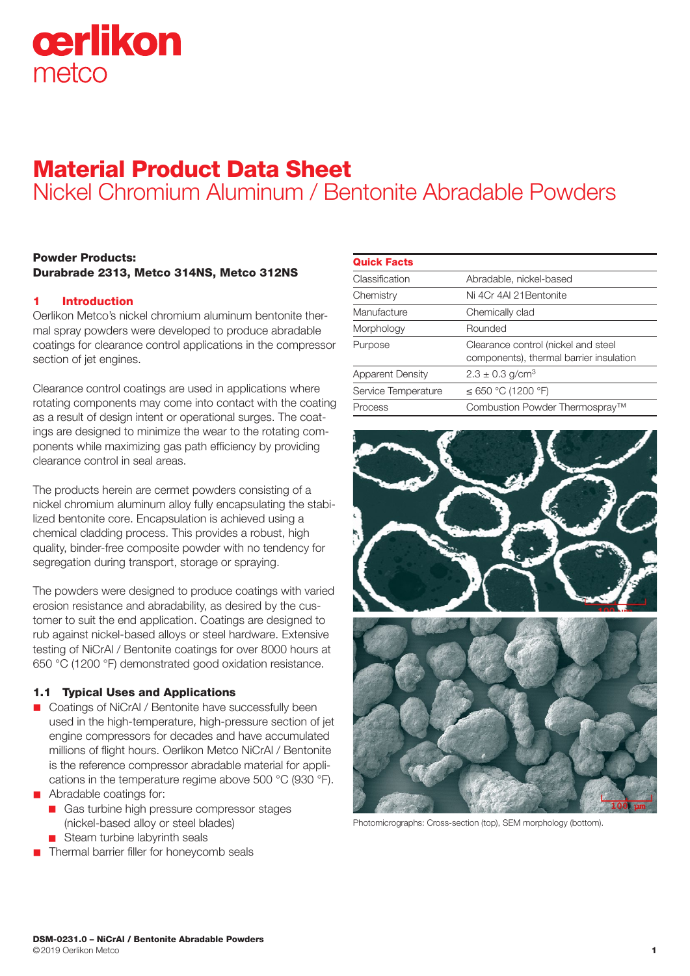

# Material Product Data Sheet Nickel Chromium Aluminum / Bentonite Abradable Powders

# Powder Products: Durabrade 2313, Metco 314NS, Metco 312NS

# 1 Introduction

Oerlikon Metco's nickel chromium aluminum bentonite thermal spray powders were developed to produce abradable coatings for clearance control applications in the compressor section of jet engines.

Clearance control coatings are used in applications where rotating components may come into contact with the coating as a result of design intent or operational surges. The coatings are designed to minimize the wear to the rotating components while maximizing gas path efficiency by providing clearance control in seal areas.

The products herein are cermet powders consisting of a nickel chromium aluminum alloy fully encapsulating the stabilized bentonite core. Encapsulation is achieved using a chemical cladding process. This provides a robust, high quality, binder-free composite powder with no tendency for segregation during transport, storage or spraying.

The powders were designed to produce coatings with varied erosion resistance and abradability, as desired by the customer to suit the end application. Coatings are designed to rub against nickel-based alloys or steel hardware. Extensive testing of NiCrAl / Bentonite coatings for over 8000 hours at 650 °C (1200 °F) demonstrated good oxidation resistance.

## 1.1 Typical Uses and Applications

- Coatings of NiCrAl / Bentonite have successfully been used in the high-temperature, high-pressure section of jet engine compressors for decades and have accumulated millions of flight hours. Oerlikon Metco NiCrAl / Bentonite is the reference compressor abradable material for applications in the temperature regime above 500 °C (930 °F). Abradable coatings for:
	- Gas turbine high pressure compressor stages (nickel-based alloy or steel blades)
		- $\blacksquare$  Steam turbine labyrinth seals
- **n** Thermal barrier filler for honeycomb seals

| <b>Quick Facts</b>      |                                                                                |
|-------------------------|--------------------------------------------------------------------------------|
| Classification          | Abradable, nickel-based                                                        |
| Chemistry               | Ni 4Cr 4Al 21 Bentonite                                                        |
| Manufacture             | Chemically clad                                                                |
| Morphology              | Rounded                                                                        |
| Purpose                 | Clearance control (nickel and steel<br>components), thermal barrier insulation |
| <b>Apparent Density</b> | $2.3 \pm 0.3$ g/cm <sup>3</sup>                                                |
| Service Temperature     | ≤ 650 °C (1200 °F)                                                             |
| Process                 | Combustion Powder Thermospray™                                                 |



Photomicrographs: Cross-section (top), SEM morphology (bottom).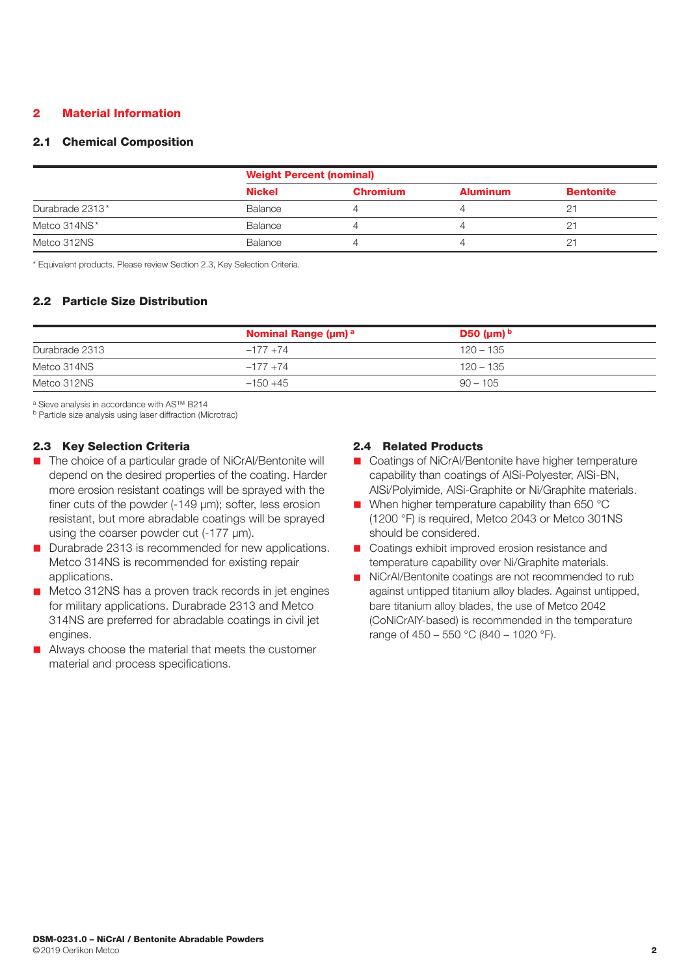# 2 Material Information

## 2.1 Chemical Composition

|                 | <b>Weight Percent (nominal)</b> |                 |                 |                  |
|-----------------|---------------------------------|-----------------|-----------------|------------------|
|                 | <b>Nickel</b>                   | <b>Chromium</b> | <b>Aluminum</b> | <b>Bentonite</b> |
| Durabrade 2313* | Balance                         |                 |                 |                  |
| Metco 314NS*    | Balance                         |                 |                 |                  |
| Metco 312NS     | Balance                         |                 |                 |                  |

\* Equivalent products. Please review Section 2.3, Key Selection Criteria.

# 2.2 Particle Size Distribution

|                | <b>Nominal Range (µm)</b> <sup>a</sup> | <b>D50</b> (µm) $^{\rm b}$ |  |
|----------------|----------------------------------------|----------------------------|--|
| Durabrade 2313 | $-177 + 74$                            | 120 – 135                  |  |
| Metco 314NS    | $-177 + 74$                            | 120 – 135                  |  |
| Metco 312NS    | $-150+45$                              | $90 - 105$                 |  |

a Sieve analysis in accordance with AS™ B214

**b Particle size analysis using laser diffraction (Microtrac)** 

#### 2.3 Key Selection Criteria

- The choice of a particular grade of NiCrAl/Bentonite will depend on the desired properties of the coating. Harder more erosion resistant coatings will be sprayed with the finer cuts of the powder (-149 µm); softer, less erosion resistant, but more abradable coatings will be sprayed using the coarser powder cut (-177 µm).
- Durabrade 2313 is recommended for new applications. Metco 314NS is recommended for existing repair applications.
- Metco 312NS has a proven track records in jet engines for military applications. Durabrade 2313 and Metco 314NS are preferred for abradable coatings in civil jet engines.
- Always choose the material that meets the customer material and process specifications.

#### 2.4 Related Products

- Coatings of NiCrAl/Bentonite have higher temperature capability than coatings of AlSi-Polyester, AlSi-BN, AlSi/Polyimide, AlSi-Graphite or Ni/Graphite materials.
- $\blacksquare$  When higher temperature capability than 650 °C (1200 °F) is required, Metco 2043 or Metco 301NS should be considered.
- Coatings exhibit improved erosion resistance and temperature capability over Ni/Graphite materials.
- NiCrAl/Bentonite coatings are not recommended to rub against untipped titanium alloy blades. Against untipped, bare titanium alloy blades, the use of Metco 2042 (CoNiCrAlY-based) is recommended in the temperature range of 450 – 550 °C (840 – 1020 °F).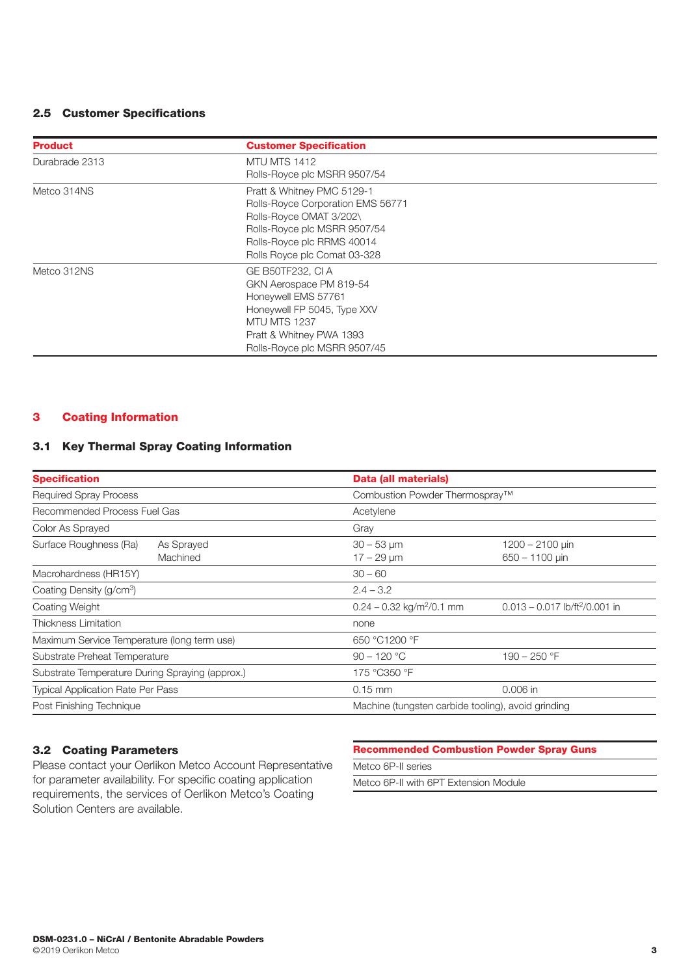# 2.5 Customer Specifications

| <b>Product</b> | <b>Customer Specification</b>     |  |
|----------------|-----------------------------------|--|
| Durabrade 2313 | <b>MTU MTS 1412</b>               |  |
|                | Rolls-Royce plc MSRR 9507/54      |  |
| Metco 314NS    | Pratt & Whitney PMC 5129-1        |  |
|                | Rolls-Royce Corporation EMS 56771 |  |
|                | Rolls-Royce OMAT 3/202\           |  |
|                | Rolls-Royce plc MSRR 9507/54      |  |
|                | Rolls-Royce plc RRMS 40014        |  |
|                | Rolls Royce plc Comat 03-328      |  |
| Metco 312NS    | GE B50TF232, CI A                 |  |
|                | GKN Aerospace PM 819-54           |  |
|                | Honeywell EMS 57761               |  |
|                | Honeywell FP 5045, Type XXV       |  |
|                | <b>MTU MTS 1237</b>               |  |
|                | Pratt & Whitney PWA 1393          |  |
|                | Rolls-Royce plc MSRR 9507/45      |  |

### 3 Coating Information

## 3.1 Key Thermal Spray Coating Information

| <b>Specification</b>                             | Data (all materials)                                                                    |  |  |
|--------------------------------------------------|-----------------------------------------------------------------------------------------|--|--|
| <b>Required Spray Process</b>                    | Combustion Powder Thermospray™                                                          |  |  |
| Recommended Process Fuel Gas                     | Acetylene                                                                               |  |  |
| Color As Sprayed                                 | Gray                                                                                    |  |  |
| Surface Roughness (Ra)<br>As Sprayed<br>Machined | $30 - 53 \mu m$<br>1200 - 2100 µin<br>$17 - 29 \mu m$<br>650 - 1100 uin                 |  |  |
| Macrohardness (HR15Y)                            | $30 - 60$                                                                               |  |  |
| Coating Density (g/cm <sup>3</sup> )             | $2.4 - 3.2$                                                                             |  |  |
| Coating Weight                                   | $0.013 - 0.017$ lb/ft <sup>2</sup> /0.001 in<br>$0.24 - 0.32$ kg/m <sup>2</sup> /0.1 mm |  |  |
| <b>Thickness Limitation</b>                      | none                                                                                    |  |  |
| Maximum Service Temperature (long term use)      | 650 °C1200 °F                                                                           |  |  |
| Substrate Preheat Temperature                    | $90 - 120 °C$<br>$190 - 250$ °F                                                         |  |  |
| Substrate Temperature During Spraying (approx.)  | 175 °C350 °F                                                                            |  |  |
| <b>Typical Application Rate Per Pass</b>         | 0.006 in<br>$0.15$ mm                                                                   |  |  |
| Post Finishing Technique                         | Machine (tungsten carbide tooling), avoid grinding                                      |  |  |

# 3.2 Coating Parameters

Please contact your Oerlikon Metco Account Representative for parameter availability. For specific coating application requirements, the services of Oerlikon Metco's Coating Solution Centers are available.

# Recommended Combustion Powder Spray Guns Metco 6P-II series Metco 6P-II with 6PT Extension Module